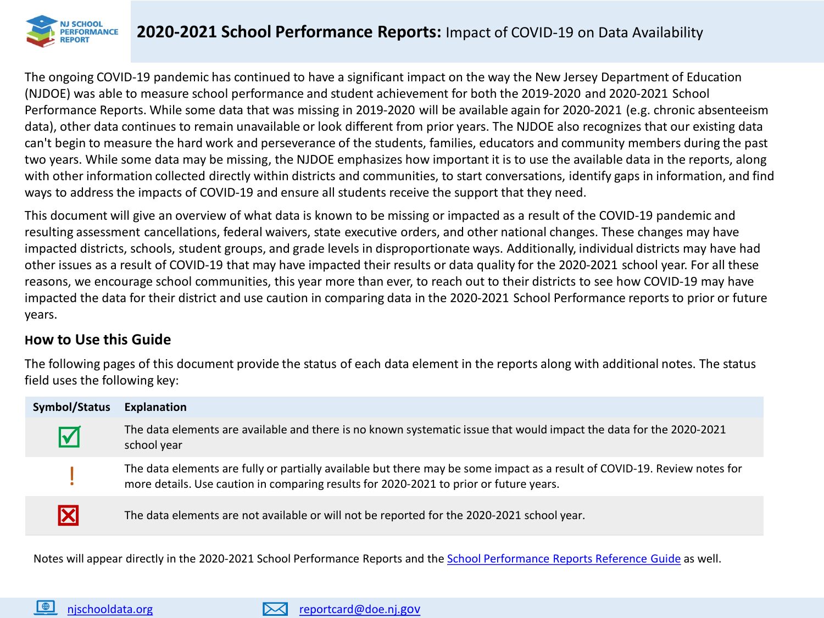

The ongoing COVID-19 pandemic has continued to have a significant impact on the way the New Jersey Department of Education (NJDOE) was able to measure school performance and student achievement for both the 2019-2020 and 2020-2021 School Performance Reports. While some data that was missing in 2019-2020 will be available again for 2020-2021 (e.g. chronic absenteeism data), other data continues to remain unavailable or look different from prior years. The NJDOE also recognizes that our existing data can't begin to measure the hard work and perseverance of the students, families, educators and community members during the past two years. While some data may be missing, the NJDOE emphasizes how important it is to use the available data in the reports, along with other information collected directly within districts and communities, to start conversations, identify gaps in information, and find ways to address the impacts of COVID-19 and ensure all students receive the support that they need.

This document will give an overview of what data is known to be missing or impacted as a result of the COVID-19 pandemic and resulting assessment cancellations, federal waivers, state executive orders, and other national changes. These changes may have impacted districts, schools, student groups, and grade levels in disproportionate ways. Additionally, individual districts may have had other issues as a result of COVID-19 that may have impacted their results or data quality for the 2020-2021 school year. For all these reasons, we encourage school communities, this year more than ever, to reach out to their districts to see how COVID-19 may have impacted the data for their district and use caution in comparing data in the 2020-2021 School Performance reports to prior or future years.

## **How to Use this Guide**

The following pages of this document provide the status of each data element in the reports along with additional notes. The status field uses the following key:

| Symbol/Status | Explanation                                                                                                                                                                                                         |
|---------------|---------------------------------------------------------------------------------------------------------------------------------------------------------------------------------------------------------------------|
|               | The data elements are available and there is no known systematic issue that would impact the data for the 2020-2021<br>school year                                                                                  |
|               | The data elements are fully or partially available but there may be some impact as a result of COVID-19. Review notes for<br>more details. Use caution in comparing results for 2020-2021 to prior or future years. |
|               | The data elements are not available or will not be reported for the 2020-2021 school year.                                                                                                                          |

Notes will appear directly in the 2020-2021 School Performance Reports and the [School Performance Reports Reference Guide](https://rc.doe.state.nj.us/Documents/ReferenceGuide.pdf) as well.

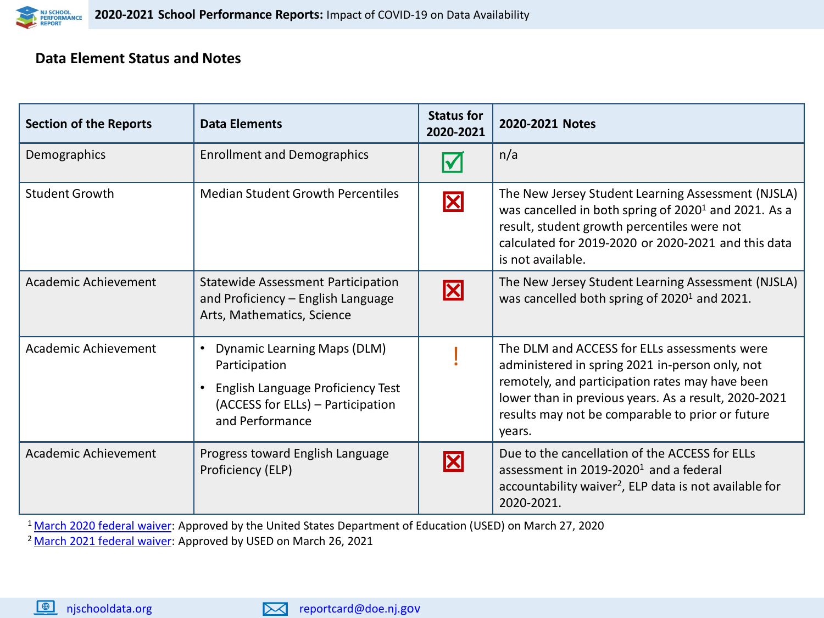

## **Data Element Status and Notes**

| <b>Section of the Reports</b> | <b>Data Elements</b>                                                                                                                                          | <b>Status for</b><br>2020-2021 | 2020-2021 Notes                                                                                                                                                                                                                                                          |
|-------------------------------|---------------------------------------------------------------------------------------------------------------------------------------------------------------|--------------------------------|--------------------------------------------------------------------------------------------------------------------------------------------------------------------------------------------------------------------------------------------------------------------------|
| Demographics                  | <b>Enrollment and Demographics</b>                                                                                                                            |                                | n/a                                                                                                                                                                                                                                                                      |
| <b>Student Growth</b>         | <b>Median Student Growth Percentiles</b>                                                                                                                      | X                              | The New Jersey Student Learning Assessment (NJSLA)<br>was cancelled in both spring of 2020 <sup>1</sup> and 2021. As a<br>result, student growth percentiles were not<br>calculated for 2019-2020 or 2020-2021 and this data<br>is not available.                        |
| Academic Achievement          | <b>Statewide Assessment Participation</b><br>and Proficiency - English Language<br>Arts, Mathematics, Science                                                 | X                              | The New Jersey Student Learning Assessment (NJSLA)<br>was cancelled both spring of 2020 <sup>1</sup> and 2021.                                                                                                                                                           |
| Academic Achievement          | <b>Dynamic Learning Maps (DLM)</b><br>$\bullet$<br>Participation<br>English Language Proficiency Test<br>(ACCESS for ELLs) - Participation<br>and Performance |                                | The DLM and ACCESS for ELLs assessments were<br>administered in spring 2021 in-person only, not<br>remotely, and participation rates may have been<br>lower than in previous years. As a result, 2020-2021<br>results may not be comparable to prior or future<br>years. |
| Academic Achievement          | Progress toward English Language<br>Proficiency (ELP)                                                                                                         | X                              | Due to the cancellation of the ACCESS for ELLs<br>assessment in 2019-2020 <sup>1</sup> and a federal<br>accountability waiver <sup>2</sup> , ELP data is not available for<br>2020-2021.                                                                                 |

<sup>1</sup> [March 2020 federal waiver:](https://oese.ed.gov/files/2020/04/NJ-Covid19-WaiverResponse.pdf) Approved by the United States Department of Education (USED) on March 27, 2020

<sup>2</sup> [March 2021 federal waiver:](https://oese.ed.gov/files/2021/03/nj-acct-waiver-response-1.pdf) Approved by USED on March 26, 2021

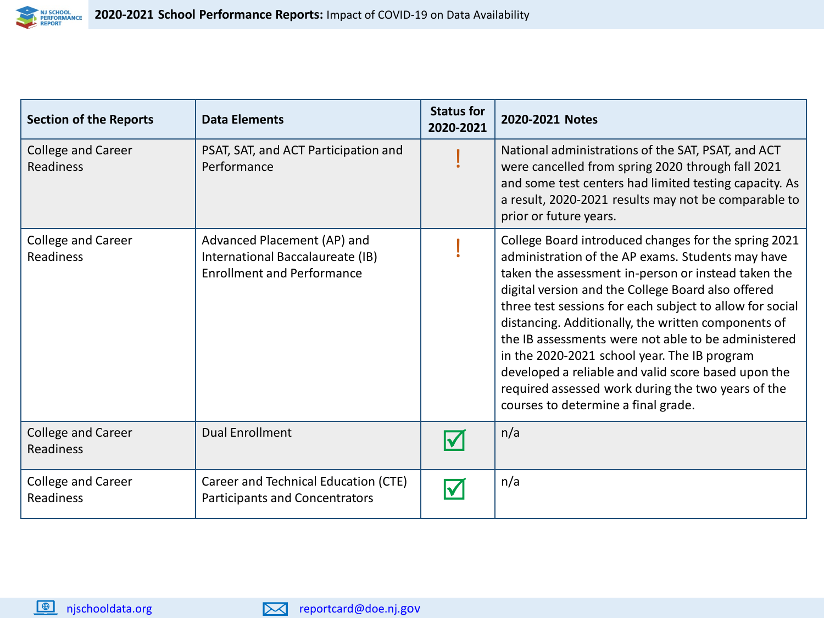

| <b>Section of the Reports</b>          | <b>Data Elements</b>                                                                                 | <b>Status for</b><br>2020-2021 | 2020-2021 Notes                                                                                                                                                                                                                                                                                                                                                                                                                                                                                                                                                                                      |
|----------------------------------------|------------------------------------------------------------------------------------------------------|--------------------------------|------------------------------------------------------------------------------------------------------------------------------------------------------------------------------------------------------------------------------------------------------------------------------------------------------------------------------------------------------------------------------------------------------------------------------------------------------------------------------------------------------------------------------------------------------------------------------------------------------|
| <b>College and Career</b><br>Readiness | PSAT, SAT, and ACT Participation and<br>Performance                                                  |                                | National administrations of the SAT, PSAT, and ACT<br>were cancelled from spring 2020 through fall 2021<br>and some test centers had limited testing capacity. As<br>a result, 2020-2021 results may not be comparable to<br>prior or future years.                                                                                                                                                                                                                                                                                                                                                  |
| <b>College and Career</b><br>Readiness | Advanced Placement (AP) and<br>International Baccalaureate (IB)<br><b>Enrollment and Performance</b> |                                | College Board introduced changes for the spring 2021<br>administration of the AP exams. Students may have<br>taken the assessment in-person or instead taken the<br>digital version and the College Board also offered<br>three test sessions for each subject to allow for social<br>distancing. Additionally, the written components of<br>the IB assessments were not able to be administered<br>in the 2020-2021 school year. The IB program<br>developed a reliable and valid score based upon the<br>required assessed work during the two years of the<br>courses to determine a final grade. |
| <b>College and Career</b><br>Readiness | <b>Dual Enrollment</b>                                                                               |                                | n/a                                                                                                                                                                                                                                                                                                                                                                                                                                                                                                                                                                                                  |
| <b>College and Career</b><br>Readiness | Career and Technical Education (CTE)<br><b>Participants and Concentrators</b>                        |                                | n/a                                                                                                                                                                                                                                                                                                                                                                                                                                                                                                                                                                                                  |

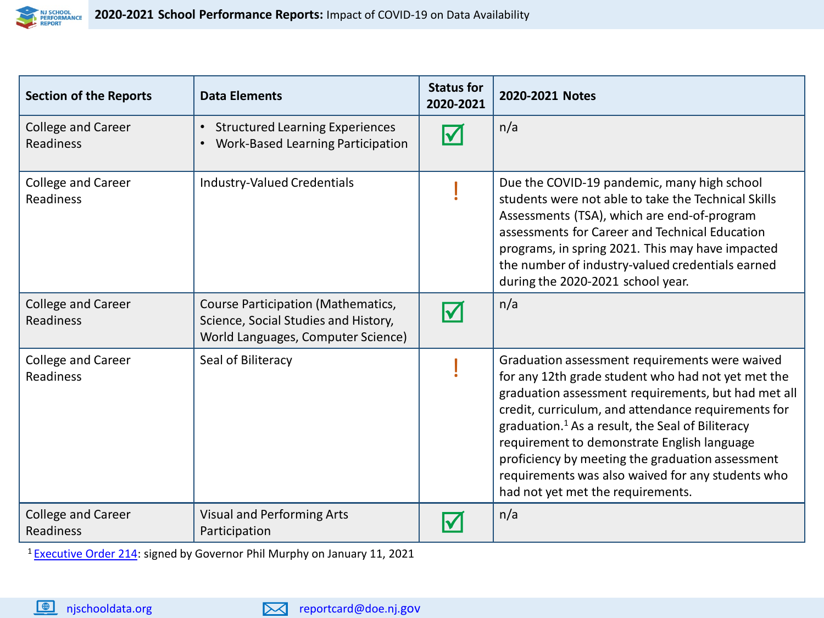

| <b>Section of the Reports</b>          | <b>Data Elements</b>                                                                                             | <b>Status for</b><br>2020-2021 | 2020-2021 Notes                                                                                                                                                                                                                                                                                                                                                                                                                                                                 |
|----------------------------------------|------------------------------------------------------------------------------------------------------------------|--------------------------------|---------------------------------------------------------------------------------------------------------------------------------------------------------------------------------------------------------------------------------------------------------------------------------------------------------------------------------------------------------------------------------------------------------------------------------------------------------------------------------|
| College and Career<br>Readiness        | <b>Structured Learning Experiences</b><br>$\bullet$<br>Work-Based Learning Participation<br>$\bullet$            |                                | n/a                                                                                                                                                                                                                                                                                                                                                                                                                                                                             |
| College and Career<br>Readiness        | Industry-Valued Credentials                                                                                      |                                | Due the COVID-19 pandemic, many high school<br>students were not able to take the Technical Skills<br>Assessments (TSA), which are end-of-program<br>assessments for Career and Technical Education<br>programs, in spring 2021. This may have impacted<br>the number of industry-valued credentials earned<br>during the 2020-2021 school year.                                                                                                                                |
| College and Career<br>Readiness        | Course Participation (Mathematics,<br>Science, Social Studies and History,<br>World Languages, Computer Science) |                                | n/a                                                                                                                                                                                                                                                                                                                                                                                                                                                                             |
| College and Career<br><b>Readiness</b> | Seal of Biliteracy                                                                                               |                                | Graduation assessment requirements were waived<br>for any 12th grade student who had not yet met the<br>graduation assessment requirements, but had met all<br>credit, curriculum, and attendance requirements for<br>graduation. <sup>1</sup> As a result, the Seal of Biliteracy<br>requirement to demonstrate English language<br>proficiency by meeting the graduation assessment<br>requirements was also waived for any students who<br>had not yet met the requirements. |
| College and Career<br>Readiness        | <b>Visual and Performing Arts</b><br>Participation                                                               |                                | n/a                                                                                                                                                                                                                                                                                                                                                                                                                                                                             |

<sup>1</sup> [Executive Order 214](https://nj.gov/infobank/eo/056murphy/pdf/EO-214.pdf): signed by Governor Phil Murphy on January 11, 2021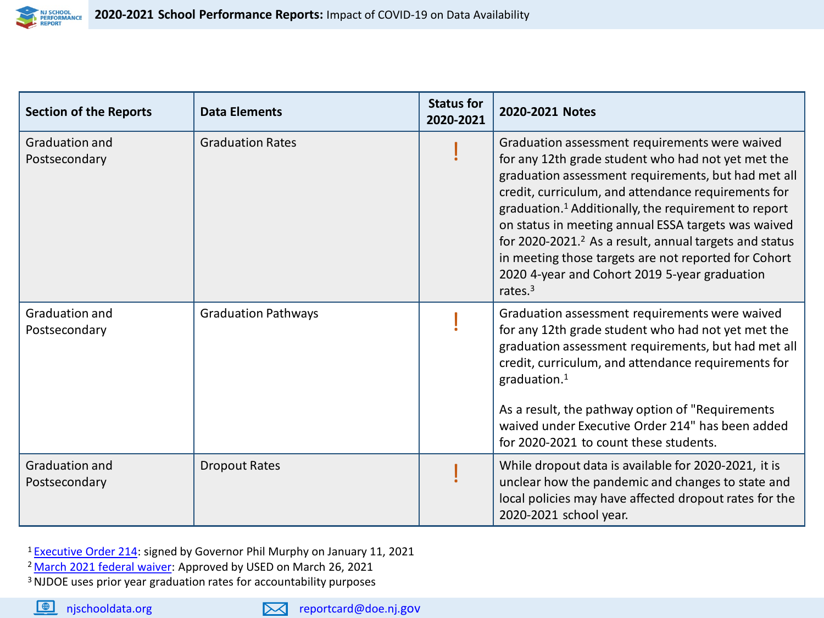

| <b>Section of the Reports</b>          | <b>Data Elements</b>       | <b>Status for</b><br>2020-2021 | 2020-2021 Notes                                                                                                                                                                                                                                                                                                                                                                                                                                                                                                                            |
|----------------------------------------|----------------------------|--------------------------------|--------------------------------------------------------------------------------------------------------------------------------------------------------------------------------------------------------------------------------------------------------------------------------------------------------------------------------------------------------------------------------------------------------------------------------------------------------------------------------------------------------------------------------------------|
| <b>Graduation and</b><br>Postsecondary | <b>Graduation Rates</b>    |                                | Graduation assessment requirements were waived<br>for any 12th grade student who had not yet met the<br>graduation assessment requirements, but had met all<br>credit, curriculum, and attendance requirements for<br>graduation. <sup>1</sup> Additionally, the requirement to report<br>on status in meeting annual ESSA targets was waived<br>for 2020-2021. <sup>2</sup> As a result, annual targets and status<br>in meeting those targets are not reported for Cohort<br>2020 4-year and Cohort 2019 5-year graduation<br>rates. $3$ |
| Graduation and<br>Postsecondary        | <b>Graduation Pathways</b> |                                | Graduation assessment requirements were waived<br>for any 12th grade student who had not yet met the<br>graduation assessment requirements, but had met all<br>credit, curriculum, and attendance requirements for<br>graduation. $1$<br>As a result, the pathway option of "Requirements"<br>waived under Executive Order 214" has been added<br>for 2020-2021 to count these students.                                                                                                                                                   |
| <b>Graduation and</b><br>Postsecondary | <b>Dropout Rates</b>       |                                | While dropout data is available for 2020-2021, it is<br>unclear how the pandemic and changes to state and<br>local policies may have affected dropout rates for the<br>2020-2021 school year.                                                                                                                                                                                                                                                                                                                                              |

<sup>1</sup> [Executive Order 214](https://nj.gov/infobank/eo/056murphy/pdf/EO-214.pdf): signed by Governor Phil Murphy on January 11, 2021

- <sup>2</sup> [March 2021 federal waiver:](https://oese.ed.gov/files/2021/03/nj-acct-waiver-response-1.pdf) Approved by USED on March 26, 2021
- 3 NJDOE uses prior year graduation rates for accountability purposes

njschooldata.org reportcard@doe.nj.gov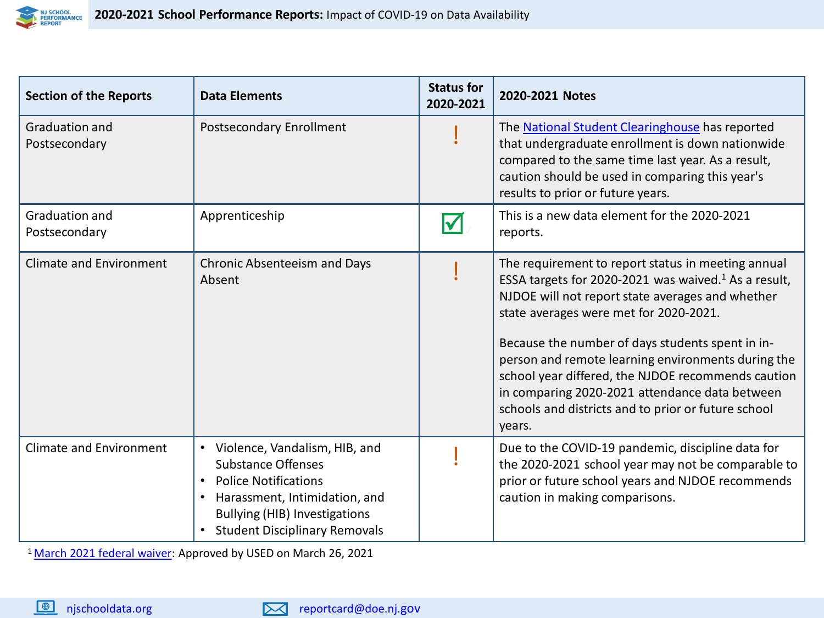

| <b>Section of the Reports</b>          | <b>Data Elements</b>                                                                                                                                                                                                                 | <b>Status for</b><br>2020-2021 | 2020-2021 Notes                                                                                                                                                                                                                                                                                                                                                                                                                                                                                         |
|----------------------------------------|--------------------------------------------------------------------------------------------------------------------------------------------------------------------------------------------------------------------------------------|--------------------------------|---------------------------------------------------------------------------------------------------------------------------------------------------------------------------------------------------------------------------------------------------------------------------------------------------------------------------------------------------------------------------------------------------------------------------------------------------------------------------------------------------------|
| <b>Graduation and</b><br>Postsecondary | Postsecondary Enrollment                                                                                                                                                                                                             |                                | The National Student Clearinghouse has reported<br>that undergraduate enrollment is down nationwide<br>compared to the same time last year. As a result,<br>caution should be used in comparing this year's<br>results to prior or future years.                                                                                                                                                                                                                                                        |
| Graduation and<br>Postsecondary        | Apprenticeship                                                                                                                                                                                                                       |                                | This is a new data element for the 2020-2021<br>reports.                                                                                                                                                                                                                                                                                                                                                                                                                                                |
| <b>Climate and Environment</b>         | <b>Chronic Absenteeism and Days</b><br>Absent                                                                                                                                                                                        |                                | The requirement to report status in meeting annual<br>ESSA targets for 2020-2021 was waived. <sup>1</sup> As a result,<br>NJDOE will not report state averages and whether<br>state averages were met for 2020-2021.<br>Because the number of days students spent in in-<br>person and remote learning environments during the<br>school year differed, the NJDOE recommends caution<br>in comparing 2020-2021 attendance data between<br>schools and districts and to prior or future school<br>years. |
| <b>Climate and Environment</b>         | Violence, Vandalism, HIB, and<br>$\bullet$<br><b>Substance Offenses</b><br><b>Police Notifications</b><br>$\bullet$<br>Harassment, Intimidation, and<br><b>Bullying (HIB) Investigations</b><br><b>Student Disciplinary Removals</b> |                                | Due to the COVID-19 pandemic, discipline data for<br>the 2020-2021 school year may not be comparable to<br>prior or future school years and NJDOE recommends<br>caution in making comparisons.                                                                                                                                                                                                                                                                                                          |

<sup>1</sup> [March 2021 federal waiver](https://oese.ed.gov/files/2021/03/nj-acct-waiver-response-1.pdf)</u>: Approved by USED on March 26, 2021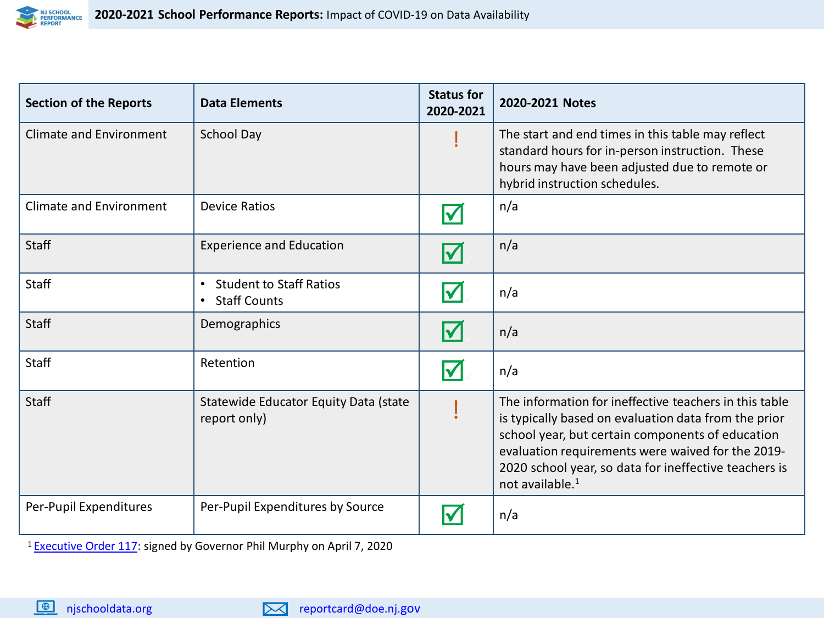

| <b>Section of the Reports</b>  | <b>Data Elements</b>                                               | <b>Status for</b><br>2020-2021 | 2020-2021 Notes                                                                                                                                                                                                                                                                                                 |
|--------------------------------|--------------------------------------------------------------------|--------------------------------|-----------------------------------------------------------------------------------------------------------------------------------------------------------------------------------------------------------------------------------------------------------------------------------------------------------------|
| <b>Climate and Environment</b> | <b>School Day</b>                                                  |                                | The start and end times in this table may reflect<br>standard hours for in-person instruction. These<br>hours may have been adjusted due to remote or<br>hybrid instruction schedules.                                                                                                                          |
| <b>Climate and Environment</b> | <b>Device Ratios</b>                                               | lV                             | n/a                                                                                                                                                                                                                                                                                                             |
| <b>Staff</b>                   | <b>Experience and Education</b>                                    | $\blacktriangledown$           | n/a                                                                                                                                                                                                                                                                                                             |
| Staff                          | <b>Student to Staff Ratios</b><br>$\bullet$<br><b>Staff Counts</b> | <b>V</b>                       | n/a                                                                                                                                                                                                                                                                                                             |
| Staff                          | Demographics                                                       | l√                             | n/a                                                                                                                                                                                                                                                                                                             |
| Staff                          | Retention                                                          | <b>V</b>                       | n/a                                                                                                                                                                                                                                                                                                             |
| Staff                          | Statewide Educator Equity Data (state<br>report only)              |                                | The information for ineffective teachers in this table<br>is typically based on evaluation data from the prior<br>school year, but certain components of education<br>evaluation requirements were waived for the 2019-<br>2020 school year, so data for ineffective teachers is<br>not available. <sup>1</sup> |
| Per-Pupil Expenditures         | Per-Pupil Expenditures by Source                                   |                                | n/a                                                                                                                                                                                                                                                                                                             |

<sup>1</sup> [Executive Order 117](https://nj.gov/infobank/eo/056murphy/pdf/EO-117.pdf): signed by Governor Phil Murphy on April 7, 2020